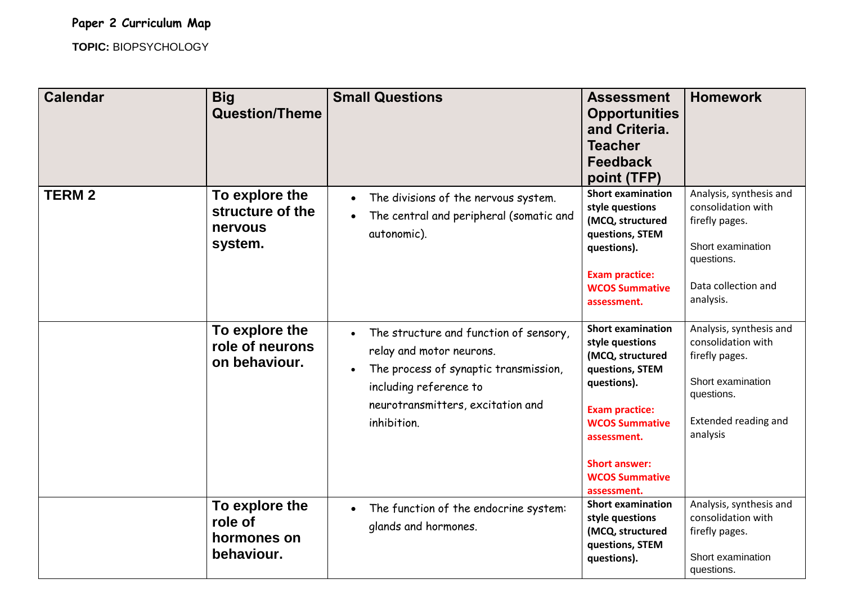**TOPIC:** BIOPSYCHOLOGY

| <b>Calendar</b> | <b>Big</b><br><b>Question/Theme</b>                      | <b>Small Questions</b>                                                                                                                                                                                              | <b>Assessment</b><br><b>Opportunities</b><br>and Criteria.<br><b>Teacher</b><br><b>Feedback</b><br>point (TFP)                                                                                                                     | <b>Homework</b>                                                                                                                        |
|-----------------|----------------------------------------------------------|---------------------------------------------------------------------------------------------------------------------------------------------------------------------------------------------------------------------|------------------------------------------------------------------------------------------------------------------------------------------------------------------------------------------------------------------------------------|----------------------------------------------------------------------------------------------------------------------------------------|
| <b>TERM2</b>    | To explore the<br>structure of the<br>nervous<br>system. | The divisions of the nervous system.<br>$\bullet$<br>The central and peripheral (somatic and<br>autonomic).                                                                                                         | <b>Short examination</b><br>style questions<br>(MCQ, structured<br>questions, STEM<br>questions).<br><b>Exam practice:</b><br><b>WCOS Summative</b><br>assessment.                                                                 | Analysis, synthesis and<br>consolidation with<br>firefly pages.<br>Short examination<br>questions.<br>Data collection and<br>analysis. |
|                 | To explore the<br>role of neurons<br>on behaviour.       | The structure and function of sensory,<br>$\bullet$<br>relay and motor neurons.<br>The process of synaptic transmission,<br>$\bullet$<br>including reference to<br>neurotransmitters, excitation and<br>inhibition. | <b>Short examination</b><br>style questions<br>(MCQ, structured<br>questions, STEM<br>questions).<br><b>Exam practice:</b><br><b>WCOS Summative</b><br>assessment.<br><b>Short answer:</b><br><b>WCOS Summative</b><br>assessment. | Analysis, synthesis and<br>consolidation with<br>firefly pages.<br>Short examination<br>questions.<br>Extended reading and<br>analysis |
|                 | To explore the<br>role of<br>hormones on<br>behaviour.   | The function of the endocrine system:<br>$\bullet$<br>glands and hormones.                                                                                                                                          | <b>Short examination</b><br>style questions<br>(MCQ, structured<br>questions, STEM<br>questions).                                                                                                                                  | Analysis, synthesis and<br>consolidation with<br>firefly pages.<br>Short examination<br>questions.                                     |